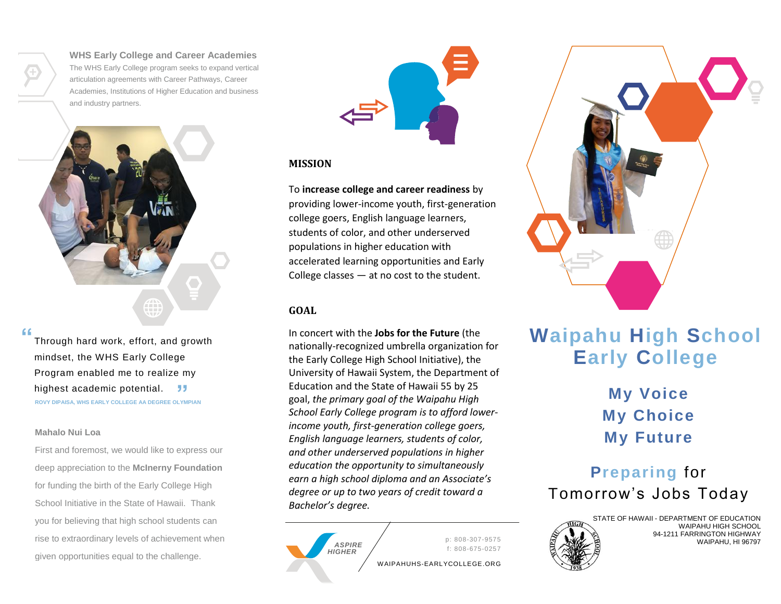**WHS Early College and Career Academies** The WHS Early College program seeks to expand vertical articulation agreements with Career Pathways, Career Academies, Institutions of Higher Education and business and industry partners.



#### **"**

Through hard work, effort, and growth mindset, the WHS Early College Program enabled me to realize my highest academic potential. **ROVY DIPAISA, WHS EARLY COLLEGE AA DEGREE OLYMPIAN "**

## **Mahalo Nui Loa**

First and foremost, we would like to express our deep appreciation to the **McInerny Foundation** for funding the birth of the Early College High School Initiative in the State of Hawaii. Thank you for believing that high school students can rise to extraordinary levels of achievement when given opportunities equal to the challenge.



## **MISSION**

To **increase college and career readiness** by providing lower-income youth, first-generation college goers, English language learners, students of color, and other underserved populations in higher education with accelerated learning opportunities and Early College classes — at no cost to the student.

## **GOAL**

In concert with the **Jobs for the Future** (the nationally-recognized umbrella organization for the Early College High School Initiative), the University of Hawaii System, the Department of Education and the State of Hawaii 55 by 25 goal, *the primary goal of the Waipahu High School Early College program is to afford lowerincome youth, first-generation college goers, English language learners, students of color, and other underserved populations in higher education the opportunity to simultaneously earn a high school diploma and an Associate's degree or up to two years of credit toward a Bachelor's degree.*





WAIPAHUHS-EARLYCOLLEGE.ORG



# **Waipahu High School Early College**

## **My Voice My Choice My Future**

# **Preparing** for My Voice<br>
My Choice<br>
My Future<br>
Preparing for<br>
Tomorrow's Jobs Today<br>
STATE OF HAWAII - DEPARTMENT OF EDUCAT



STATE OF HAWAII - DEPARTMENT OF EDUCATION WAIPAHU HIGH SCHOOL 94-1211 FARRINGTON HIGHWAY WAIPAHU, HI 96797